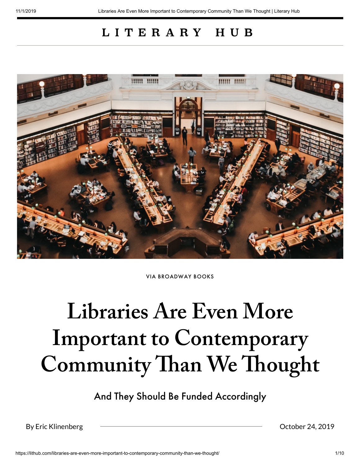#### L I T E R A R Y [H](https://lithub.com/) U B



VIA [BROADWAY](https://www.penguinrandomhouse.com/books/557044/palaces-for-the-people-by-eric-klinenberg/) BOOKS

# **Libraries Are Even More Important to Contemporary Community Than We Thought**

And They Should Be Funded Accordingly

By [Eric Klinenberg](https://lithub.com/author/ericklinenberg/) ——————————————————————————October 24, 2019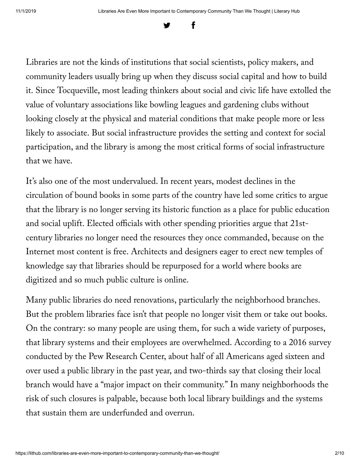y f

Libraries are not the kinds of institutions that social scientists, policy makers, and community leaders usually bring up when they discuss social capital and how to build it. Since Tocqueville, most leading thinkers about social and civic life have extolled the value of voluntary associations like bowling leagues and gardening clubs without looking closely at the physical and material conditions that make people more or less likely to associate. But social infrastructure provides the setting and context for social participation, and the library is among the most critical forms of social infrastructure that we have.

It's also one of the most undervalued. In recent years, modest declines in the circulation of bound books in some parts of the country have led some critics to argue that the library is no longer serving its historic function as a place for public education and social uplift. Elected officials with other spending priorities argue that 21stcentury libraries no longer need the resources they once commanded, because on the Internet most content is free. Architects and designers eager to erect new temples of knowledge say that libraries should be repurposed for a world where books are digitized and so much public culture is online.

Many public libraries do need renovations, particularly the neighborhood branches. But the problem libraries face isn't that people no longer visit them or take out books. On the contrary: so many people are using them, for such a wide variety of purposes, that library systems and their employees are overwhelmed. According to a 2016 survey conducted by the Pew Research Center, about half of all Americans aged sixteen and over used a public library in the past year, and two-thirds say that closing their local branch would have a "major impact on their community." In many neighborhoods the risk of such closures is palpable, because both local library buildings and the systems that sustain them are underfunded and overrun.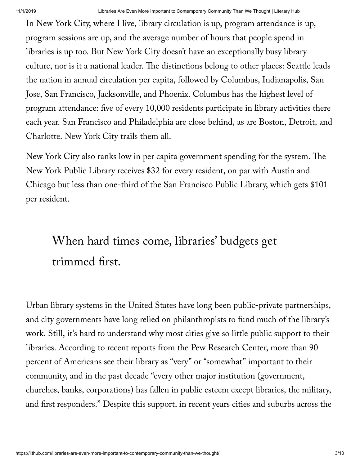In New York City, where I live, library circulation is up, program attendance is up, program sessions are up, and the average number of hours that people spend in libraries is up too. But New York City doesn't have an exceptionally busy library culture, nor is it a national leader. The distinctions belong to other places: Seattle leads the nation in annual circulation per capita, followed by Columbus, Indianapolis, San Jose, San Francisco, Jacksonville, and Phoenix. Columbus has the highest level of program attendance: five of every 10,000 residents participate in library activities there each year. San Francisco and Philadelphia are close behind, as are Boston, Detroit, and Charlotte. New York City trails them all.

New York City also ranks low in per capita government spending for the system. The New York Public Library receives \$32 for every resident, on par with Austin and Chicago but less than one-third of the San Francisco Public Library, which gets \$101 per resident.

## When hard times come, libraries ' budgets get trimmed first.

Urban library systems in the United States have long been public-private partnerships, and city governments have long relied on philanthropists to fund much of the library's work. Still, it's hard to understand why most cities give so little public support to their libraries. According to recent reports from the Pew Research Center, more than 90 percent of Americans see their library as "very" or "somewhat" important to their community, and in the past decade "every other major institution (government, churches, banks, corporations) has fallen in public esteem except libraries, the military, and first responders." Despite this support, in recent years cities and suburbs across the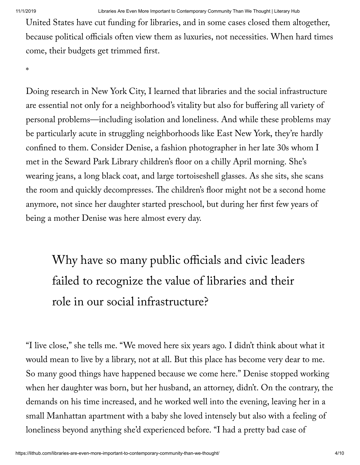United States have cut funding for libraries, and in some cases closed them altogether, because political officials often view them as luxuries, not necessities. When hard times come, their budgets get trimmed first.

\*

Doing research in New York City, I learned that libraries and the social infrastructure are essential not only for a neighborhood's vitality but also for buffering all variety of personal problems—including isolation and loneliness. And while these problems may be particularly acute in struggling neighborhoods like East New York, they're hardly confined to them. Consider Denise, a fashion photographer in her late 30s whom I met in the Seward Park Library children's floor on a chilly April morning. She's wearing jeans, a long black coat, and large tortoiseshell glasses. As she sits, she scans the room and quickly decompresses. The children's floor might not be a second home anymore, not since her daughter started preschool, but during her first few years of being a mother Denise was here almost every day.

Why have so many public officials and civic leaders failed to recognize the value of libraries and their role in our social infrastructure?

"I live close," she tells me. "We moved here six years ago. I didn't think about what it would mean to live by a library, not at all. But this place has become very dear to me. So many good things have happened because we come here." Denise stopped working when her daughter was born, but her husband, an attorney, didn't. On the contrary, the demands on his time increased, and he worked well into the evening, leaving her in a small Manhattan apartment with a baby she loved intensely but also with a feeling of loneliness beyond anything she'd experienced before. "I had a pretty bad case of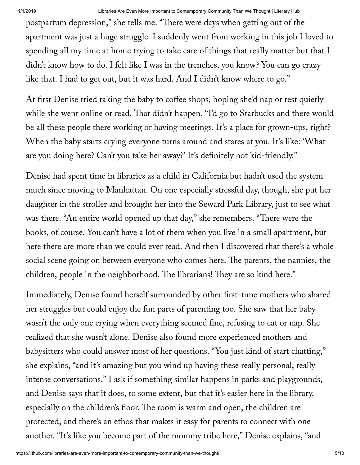postpartum depression," she tells me. "There were days when getting out of the apartment was just a huge struggle. I suddenly went from working in this job I loved to spending all my time at home trying to take care of things that really matter but that I didn't know how to do. I felt like I was in the trenches, you know? You can go crazy like that. I had to get out, but it was hard. And I didn't know where to go."

At first Denise tried taking the baby to coffee shops, hoping she'd nap or rest quietly while she went online or read. That didn't happen. "I'd go to Starbucks and there would be all these people there working or having meetings. It's a place for grown-ups, right? When the baby starts crying everyone turns around and stares at you. It's like: 'What are you doing here? Can't you take her away?' It's definitely not kid-friendly."

Denise had spent time in libraries as a child in California but hadn't used the system much since moving to Manhattan. On one especially stressful day, though, she put her daughter in the stroller and brought her into the Seward Park Library, just to see what was there. "An entire world opened up that day," she remembers. "There were the books, of course. You can't have a lot of them when you live in a small apartment, but here there are more than we could ever read. And then I discovered that there's a whole social scene going on between everyone who comes here. The parents, the nannies, the children, people in the neighborhood. The librarians! They are so kind here."

Immediately, Denise found herself surrounded by other first-time mothers who shared her struggles but could enjoy the fun parts of parenting too. She saw that her baby wasn't the only one crying when everything seemed fine, refusing to eat or nap. She realized that she wasn't alone. Denise also found more experienced mothers and babysitters who could answer most of her questions. "You just kind of start chatting," she explains, "and it's amazing but you wind up having these really personal, really intense conversations." I ask if something similar happens in parks and playgrounds, and Denise says that it does, to some extent, but that it's easier here in the library, especially on the children's floor. The room is warm and open, the children are protected, and there's an ethos that makes it easy for parents to connect with one another. "It's like you become part of the mommy tribe here," Denise explains, "and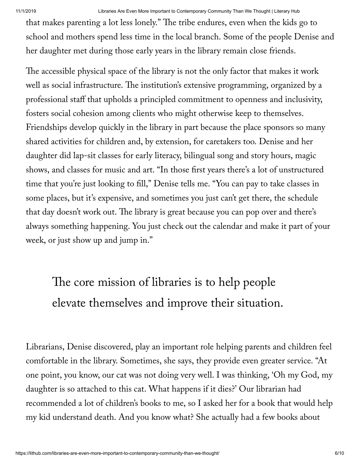that makes parenting a lot less lonely." The tribe endures, even when the kids go to school and mothers spend less time in the local branch. Some of the people Denise and her daughter met during those early years in the library remain close friends.

The accessible physical space of the library is not the only factor that makes it work well as social infrastructure. The institution's extensive programming, organized by a professional staff that upholds a principled commitment to openness and inclusivity, fosters social cohesion among clients who might otherwise keep to themselves. Friendships develop quickly in the library in part because the place sponsors so many shared activities for children and, by extension, for caretakers too. Denise and her daughter did lap-sit classes for early literacy, bilingual song and story hours, magic shows, and classes for music and art. "In those first years there's a lot of unstructured time that you're just looking to fill," Denise tells me. "You can pay to take classes in some places, but it's expensive, and sometimes you just can't get there, the schedule that day doesn't work out. The library is great because you can pop over and there's always something happening. You just check out the calendar and make it part of your week, or just show up and jump in."

### The core mission of libraries is to help people elevate themselves and improve their situation.

Librarians, Denise discovered, play an important role helping parents and children feel comfortable in the library. Sometimes, she says, they provide even greater service. "At one point, you know, our cat was not doing very well. I was thinking, 'Oh my God, my daughter is so attached to this cat. What happens if it dies?' Our librarian had recommended a lot of children's books to me, so I asked her for a book that would help my kid understand death. And you know what? She actually had a few books about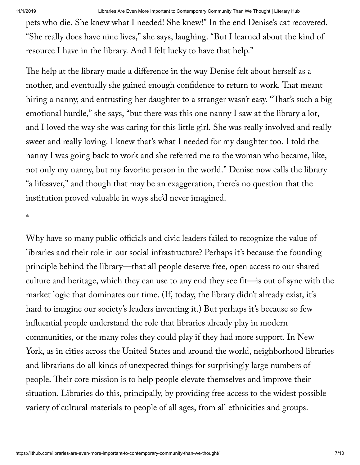11/1/2019 Libraries Are Even More Important to Contemporary Community Than We Thought | Literary Hub

pets who die. She knew what I needed! She knew!" In the end Denise's cat recovered. "She really does have nine lives," she says, laughing. "But I learned about the kind of resource I have in the library. And I felt lucky to have that help."

The help at the library made a difference in the way Denise felt about herself as a mother, and eventually she gained enough confidence to return to work. That meant hiring a nanny, and entrusting her daughter to a stranger wasn't easy. "That's such a big emotional hurdle," she says, "but there was this one nanny I saw at the library a lot, and I loved the way she was caring for this little girl. She was really involved and really sweet and really loving. I knew that's what I needed for my daughter too. I told the nanny I was going back to work and she referred me to the woman who became, like, not only my nanny, but my favorite person in the world." Denise now calls the library "a lifesaver," and though that may be an exaggeration, there's no question that the institution proved valuable in ways she'd never imagined.

\*

Why have so many public officials and civic leaders failed to recognize the value of libraries and their role in our social infrastructure? Perhaps it's because the founding principle behind the library—that all people deserve free, open access to our shared culture and heritage, which they can use to any end they see fit—is out of sync with the market logic that dominates our time. (If, today, the library didn't already exist, it's hard to imagine our society's leaders inventing it.) But perhaps it's because so few influential people understand the role that libraries already play in modern communities, or the many roles they could play if they had more support. In New York, as in cities across the United States and around the world, neighborhood libraries and librarians do all kinds of unexpected things for surprisingly large numbers of people. Their core mission is to help people elevate themselves and improve their situation. Libraries do this, principally, by providing free access to the widest possible variety of cultural materials to people of all ages, from all ethnicities and groups.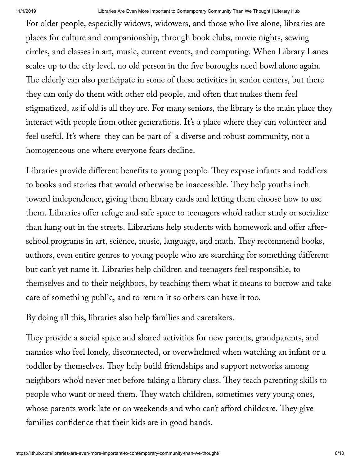For older people, especially widows, widowers, and those who live alone, libraries are places for culture and companionship, through book clubs, movie nights, sewing circles, and classes in art, music, current events, and computing. When Library Lanes scales up to the city level, no old person in the five boroughs need bowl alone again. The elderly can also participate in some of these activities in senior centers, but there they can only do them with other old people, and often that makes them feel stigmatized, as if old is all they are. For many seniors, the library is the main place they interact with people from other generations. It's a place where they can volunteer and feel useful. It's where they can be part of a diverse and robust community, not a homogeneous one where everyone fears decline.

Libraries provide different benefits to young people. They expose infants and toddlers to books and stories that would otherwise be inaccessible. They help youths inch toward independence, giving them library cards and letting them choose how to use them. Libraries offer refuge and safe space to teenagers who'd rather study or socialize than hang out in the streets. Librarians help students with homework and offer afterschool programs in art, science, music, language, and math. They recommend books, authors, even entire genres to young people who are searching for something different but can't yet name it. Libraries help children and teenagers feel responsible, to themselves and to their neighbors, by teaching them what it means to borrow and take care of something public, and to return it so others can have it too.

By doing all this, libraries also help families and caretakers.

They provide a social space and shared activities for new parents, grandparents, and nannies who feel lonely, disconnected, or overwhelmed when watching an infant or a toddler by themselves. They help build friendships and support networks among neighbors who'd never met before taking a library class. They teach parenting skills to people who want or need them. They watch children, sometimes very young ones, whose parents work late or on weekends and who can't afford childcare. They give families confidence that their kids are in good hands.